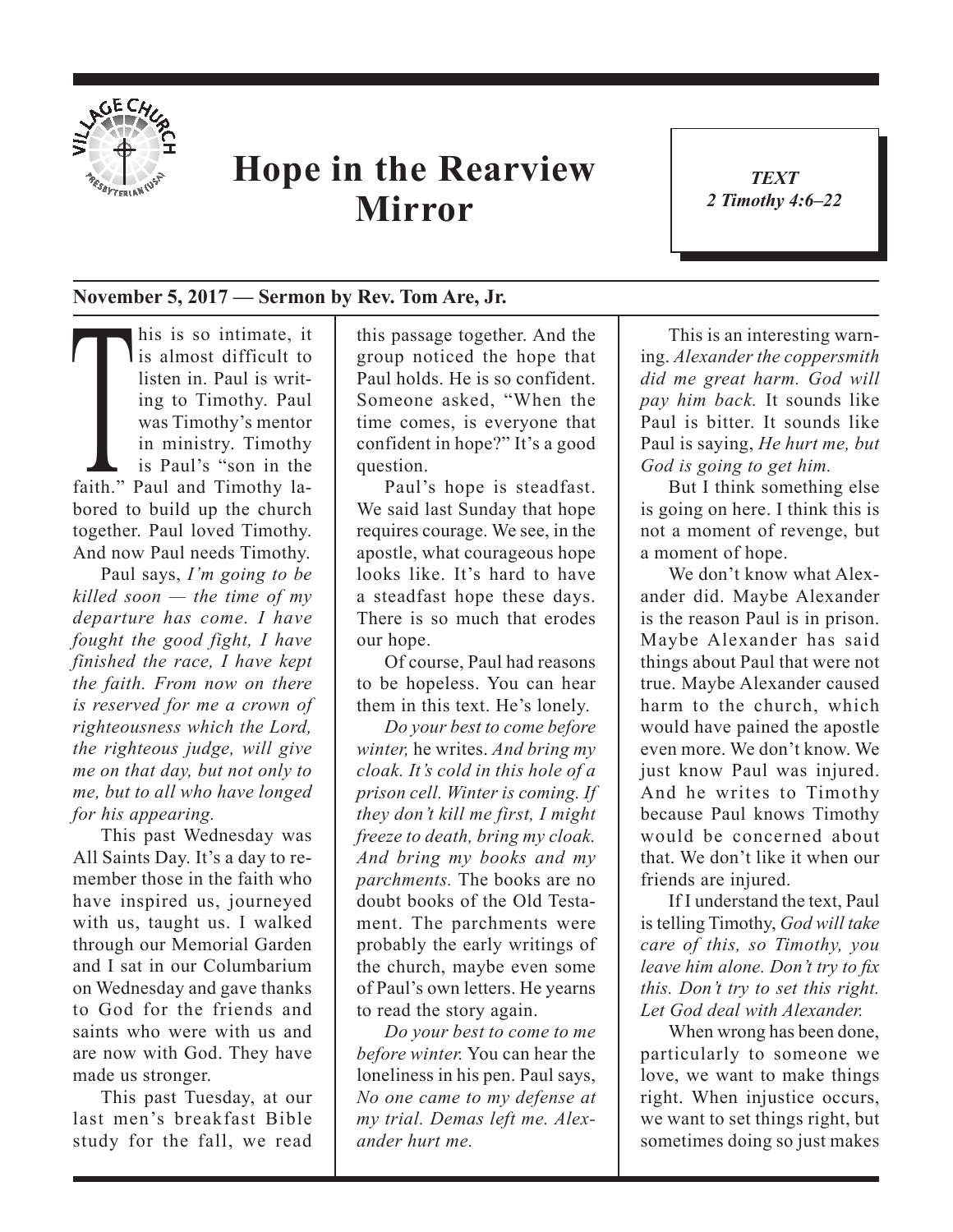

## **Hope in the Rearview Mirror**

*TEXT 2 Timothy 4:6–22* 1

## **November 5, 2017 — Sermon by Rev. Tom Are, Jr.**

This is so intimate, it<br>is almost difficult to<br>listen in. Paul is writ-<br>ing to Timothy. Paul<br>was Timothy's mentor<br>in ministry. Timothy<br>is Paul's "son in the<br>faith" Paul and Timothy lal is almost difficult to listen in. Paul is writing to Timothy. Paul was Timothy's mentor in ministry. Timothy is Paul's "son in the faith." Paul and Timothy labored to build up the church together. Paul loved Timothy. And now Paul needs Timothy.

Paul says, *I'm going to be killed soon — the time of my departure has come. I have fought the good fight, I have finished the race, I have kept the faith. From now on there is reserved for me a crown of righteousness which the Lord, the righteous judge, will give me on that day, but not only to me, but to all who have longed for his appearing.*

This past Wednesday was All Saints Day. It's a day to remember those in the faith who have inspired us, journeyed with us, taught us. I walked through our Memorial Garden and I sat in our Columbarium on Wednesday and gave thanks to God for the friends and saints who were with us and are now with God. They have made us stronger.

This past Tuesday, at our last men's breakfast Bible study for the fall, we read

this passage together. And the group noticed the hope that Paul holds. He is so confident. Someone asked, "When the time comes, is everyone that confident in hope?" It's a good question.

Paul's hope is steadfast. We said last Sunday that hope requires courage. We see, in the apostle, what courageous hope looks like. It's hard to have a steadfast hope these days. There is so much that erodes our hope.

Of course, Paul had reasons to be hopeless. You can hear them in this text. He's lonely.

*Do your best to come before winter,* he writes. *And bring my cloak. It's cold in this hole of a prison cell. Winter is coming. If they don't kill me first, I might freeze to death, bring my cloak. And bring my books and my parchments.* The books are no doubt books of the Old Testament. The parchments were probably the early writings of the church, maybe even some of Paul's own letters. He yearns to read the story again.

*Do your best to come to me before winter.* You can hear the loneliness in his pen. Paul says, *No one came to my defense at my trial. Demas left me. Alexander hurt me.*

This is an interesting warning. *Alexander the coppersmith did me great harm. God will pay him back.* It sounds like Paul is bitter. It sounds like Paul is saying, *He hurt me, but God is going to get him.*

But I think something else is going on here. I think this is not a moment of revenge, but a moment of hope.

We don't know what Alexander did. Maybe Alexander is the reason Paul is in prison. Maybe Alexander has said things about Paul that were not true. Maybe Alexander caused harm to the church, which would have pained the apostle even more. We don't know. We just know Paul was injured. And he writes to Timothy because Paul knows Timothy would be concerned about that. We don't like it when our friends are injured.

If I understand the text, Paul is telling Timothy, *God will take care of this, so Timothy, you leave him alone. Don't try to fx this. Don't try to set this right. Let God deal with Alexander.*

When wrong has been done, particularly to someone we love, we want to make things right. When injustice occurs, we want to set things right, but sometimes doing so just makes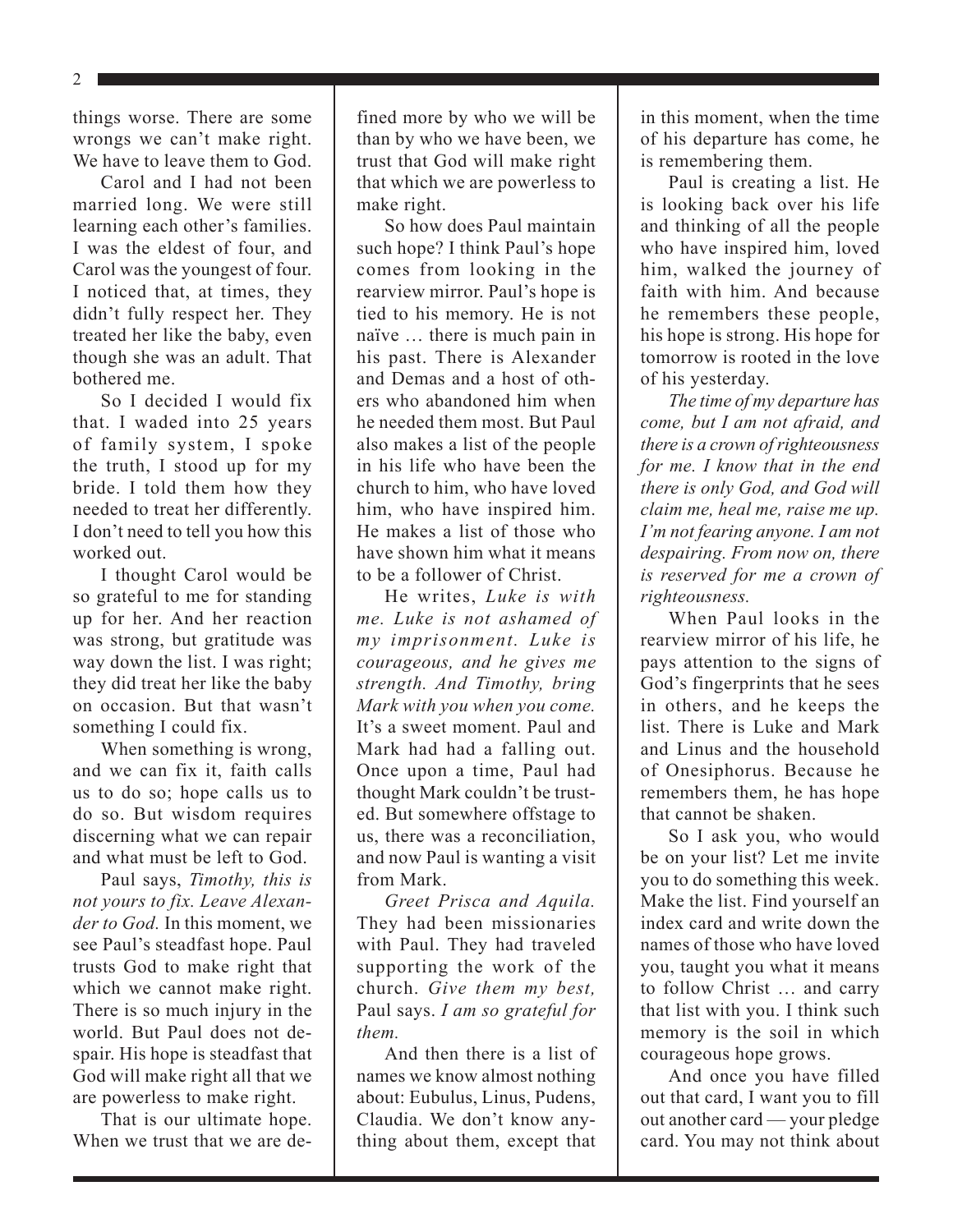things worse. There are some wrongs we can't make right. We have to leave them to God.

Carol and I had not been married long. We were still learning each other's families. I was the eldest of four, and Carol was the youngest of four. I noticed that, at times, they didn't fully respect her. They treated her like the baby, even though she was an adult. That bothered me.

So I decided I would fix that. I waded into 25 years of family system, I spoke the truth, I stood up for my bride. I told them how they needed to treat her differently. I don't need to tell you how this worked out.

I thought Carol would be so grateful to me for standing up for her. And her reaction was strong, but gratitude was way down the list. I was right; they did treat her like the baby on occasion. But that wasn't something I could fix.

When something is wrong, and we can fix it, faith calls us to do so; hope calls us to do so. But wisdom requires discerning what we can repair and what must be left to God.

Paul says, *Timothy, this is not yours to fix. Leave Alexander to God.* In this moment, we see Paul's steadfast hope. Paul trusts God to make right that which we cannot make right. There is so much injury in the world. But Paul does not despair. His hope is steadfast that God will make right all that we are powerless to make right.

That is our ultimate hope. When we trust that we are defined more by who we will be than by who we have been, we trust that God will make right that which we are powerless to make right.

So how does Paul maintain such hope? I think Paul's hope comes from looking in the rearview mirror. Paul's hope is tied to his memory. He is not naïve … there is much pain in his past. There is Alexander and Demas and a host of others who abandoned him when he needed them most. But Paul also makes a list of the people in his life who have been the church to him, who have loved him, who have inspired him. He makes a list of those who have shown him what it means to be a follower of Christ.

He writes, *Luke is with me. Luke is not ashamed of my imprisonment. Luke is courageous, and he gives me strength. And Timothy, bring Mark with you when you come.* It's a sweet moment. Paul and Mark had had a falling out. Once upon a time, Paul had thought Mark couldn't be trusted. But somewhere offstage to us, there was a reconciliation, and now Paul is wanting a visit from Mark.

*Greet Prisca and Aquila.* They had been missionaries with Paul. They had traveled supporting the work of the church. *Give them my best,* Paul says. *I am so grateful for them.*

And then there is a list of names we know almost nothing about: Eubulus, Linus, Pudens, Claudia. We don't know anything about them, except that

in this moment, when the time of his departure has come, he is remembering them.

Paul is creating a list. He is looking back over his life and thinking of all the people who have inspired him, loved him, walked the journey of faith with him. And because he remembers these people, his hope is strong. His hope for tomorrow is rooted in the love of his yesterday.

*The time of my departure has come, but I am not afraid, and there is a crown of righteousness for me. I know that in the end there is only God, and God will claim me, heal me, raise me up. I'm not fearing anyone. I am not despairing. From now on, there is reserved for me a crown of righteousness.* 

When Paul looks in the rearview mirror of his life, he pays attention to the signs of God's fingerprints that he sees in others, and he keeps the list. There is Luke and Mark and Linus and the household of Onesiphorus. Because he remembers them, he has hope that cannot be shaken.

So I ask you, who would be on your list? Let me invite you to do something this week. Make the list. Find yourself an index card and write down the names of those who have loved you, taught you what it means to follow Christ … and carry that list with you. I think such memory is the soil in which courageous hope grows.

And once you have filled out that card, I want you to fill out another card — your pledge card. You may not think about